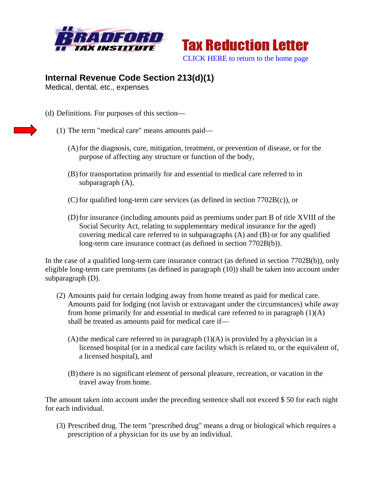



## **Internal Revenue Code Section 213(d)(1)**

Medical, dental, etc., expenses

- (d) Definitions. For purposes of this section—
	- (1) The term "medical care" means amounts paid—
		- (A)for the diagnosis, cure, mitigation, treatment, or prevention of disease, or for the purpose of affecting any structure or function of the body,
		- (B) for transportation primarily for and essential to medical care referred to in subparagraph (A),
		- (C) for qualified long-term care services (as defined in section 7702B(c)), or
		- (D)for insurance (including amounts paid as premiums under part B of title XVIII of the Social Security Act, relating to supplementary medical insurance for the aged) covering medical care referred to in subparagraphs (A) and (B) or for any qualified long-term care insurance contract (as defined in section 7702B(b)).

In the case of a qualified long-term care insurance contract (as defined in section 7702B(b)), only eligible long-term care premiums (as defined in paragraph (10)) shall be taken into account under subparagraph (D).

- (2) Amounts paid for certain lodging away from home treated as paid for medical care. Amounts paid for lodging (not lavish or extravagant under the circumstances) while away from home primarily for and essential to medical care referred to in paragraph  $(1)(A)$ shall be treated as amounts paid for medical care if—
	- $(A)$  the medical care referred to in paragraph  $(1)(A)$  is provided by a physician in a licensed hospital (or in a medical care facility which is related to, or the equivalent of, a licensed hospital), and
	- (B) there is no significant element of personal pleasure, recreation, or vacation in the travel away from home.

The amount taken into account under the preceding sentence shall not exceed \$ 50 for each night for each individual.

(3) Prescribed drug. The term "prescribed drug" means a drug or biological which requires a prescription of a physician for its use by an individual.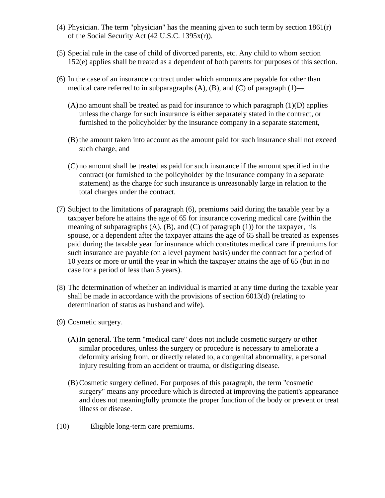- (4) Physician. The term "physician" has the meaning given to such term by section 1861(r) of the Social Security Act (42 U.S.C. 1395x(r)).
- (5) Special rule in the case of child of divorced parents, etc. Any child to whom section 152(e) applies shall be treated as a dependent of both parents for purposes of this section.
- (6) In the case of an insurance contract under which amounts are payable for other than medical care referred to in subparagraphs  $(A)$ ,  $(B)$ , and  $(C)$  of paragraph  $(1)$ —
	- $(A)$  no amount shall be treated as paid for insurance to which paragraph  $(1)(D)$  applies unless the charge for such insurance is either separately stated in the contract, or furnished to the policyholder by the insurance company in a separate statement,
	- (B) the amount taken into account as the amount paid for such insurance shall not exceed such charge, and
	- (C) no amount shall be treated as paid for such insurance if the amount specified in the contract (or furnished to the policyholder by the insurance company in a separate statement) as the charge for such insurance is unreasonably large in relation to the total charges under the contract.
- (7) Subject to the limitations of paragraph (6), premiums paid during the taxable year by a taxpayer before he attains the age of 65 for insurance covering medical care (within the meaning of subparagraphs  $(A)$ ,  $(B)$ , and  $(C)$  of paragraph  $(1)$ ) for the taxpayer, his spouse, or a dependent after the taxpayer attains the age of 65 shall be treated as expenses paid during the taxable year for insurance which constitutes medical care if premiums for such insurance are payable (on a level payment basis) under the contract for a period of 10 years or more or until the year in which the taxpayer attains the age of 65 (but in no case for a period of less than 5 years).
- (8) The determination of whether an individual is married at any time during the taxable year shall be made in accordance with the provisions of section 6013(d) (relating to determination of status as husband and wife).
- (9) Cosmetic surgery.
	- (A)In general. The term "medical care" does not include cosmetic surgery or other similar procedures, unless the surgery or procedure is necessary to ameliorate a deformity arising from, or directly related to, a congenital abnormality, a personal injury resulting from an accident or trauma, or disfiguring disease.
	- (B) Cosmetic surgery defined. For purposes of this paragraph, the term "cosmetic surgery" means any procedure which is directed at improving the patient's appearance and does not meaningfully promote the proper function of the body or prevent or treat illness or disease.
- (10) Eligible long-term care premiums.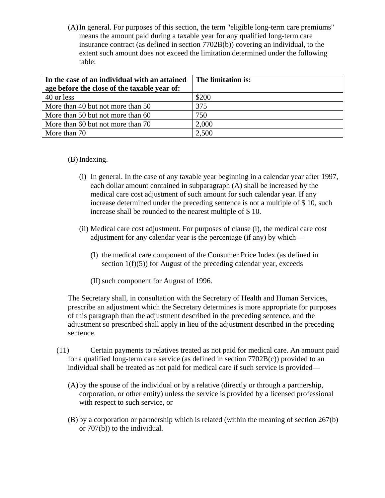(A)In general. For purposes of this section, the term "eligible long-term care premiums" means the amount paid during a taxable year for any qualified long-term care insurance contract (as defined in section 7702B(b)) covering an individual, to the extent such amount does not exceed the limitation determined under the following table:

| In the case of an individual with an attained | The limitation is: |
|-----------------------------------------------|--------------------|
| age before the close of the taxable year of:  |                    |
| 40 or less                                    | \$200              |
| More than 40 but not more than 50             | 375                |
| More than 50 but not more than 60             | 750                |
| More than 60 but not more than 70             | 2,000              |
| More than 70                                  | 2,500              |

(B) Indexing.

- (i) In general. In the case of any taxable year beginning in a calendar year after 1997, each dollar amount contained in subparagraph (A) shall be increased by the medical care cost adjustment of such amount for such calendar year. If any increase determined under the preceding sentence is not a multiple of \$ 10, such increase shall be rounded to the nearest multiple of \$ 10.
- (ii) Medical care cost adjustment. For purposes of clause (i), the medical care cost adjustment for any calendar year is the percentage (if any) by which—
	- (I) the medical care component of the Consumer Price Index (as defined in section  $1(f)(5)$  for August of the preceding calendar year, exceeds
	- (II)such component for August of 1996.

The Secretary shall, in consultation with the Secretary of Health and Human Services, prescribe an adjustment which the Secretary determines is more appropriate for purposes of this paragraph than the adjustment described in the preceding sentence, and the adjustment so prescribed shall apply in lieu of the adjustment described in the preceding sentence.

- (11) Certain payments to relatives treated as not paid for medical care. An amount paid for a qualified long-term care service (as defined in section 7702B(c)) provided to an individual shall be treated as not paid for medical care if such service is provided—
	- (A)by the spouse of the individual or by a relative (directly or through a partnership, corporation, or other entity) unless the service is provided by a licensed professional with respect to such service, or
	- (B) by a corporation or partnership which is related (within the meaning of section 267(b) or 707(b)) to the individual.